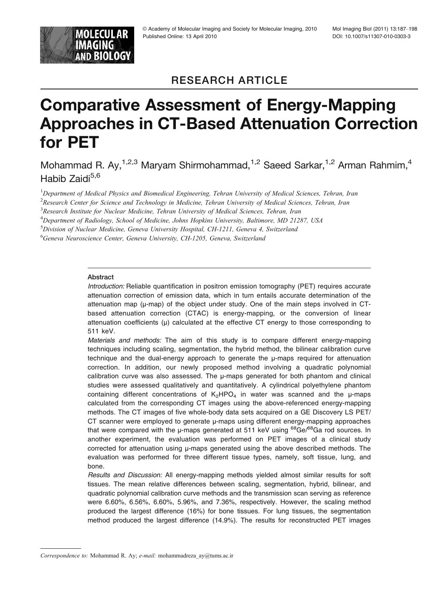

## RESEARCH ARTICLE

# Comparative Assessment of Energy-Mapping Approaches in CT-Based Attenuation Correction for PET

Mohammad R. Ay,  $1,2,3$  Maryam Shirmohammad,  $1,2$  Saeed Sarkar,  $1,2$  Arman Rahmim,  $4$ Habib Zaidi<sup>5,6</sup>

<sup>1</sup>Department of Medical Physics and Biomedical Engineering, Tehran University of Medical Sciences, Tehran, Iran

 $^{2}$ Research Center for Science and Technology in Medicine, Tehran University of Medical Sciences, Tehran, Iran

<sup>3</sup> Research Institute for Nuclear Medicine, Tehran University of Medical Sciences, Tehran, Iran

<sup>4</sup>Department of Radiology, School of Medicine, Johns Hopkins University, Baltimore, MD 21287, USA

<sup>5</sup> Division of Nuclear Medicine, Geneva University Hospital, CH-1211, Geneva 4, Switzerland

<sup>6</sup>Geneva Neuroscience Center, Geneva University, CH-1205, Geneva, Switzerland

#### Abstract

Introduction: Reliable quantification in positron emission tomography (PET) requires accurate attenuation correction of emission data, which in turn entails accurate determination of the attenuation map (µ-map) of the object under study. One of the main steps involved in CTbased attenuation correction (CTAC) is energy-mapping, or the conversion of linear attenuation coefficients  $(\mu)$  calculated at the effective CT energy to those corresponding to 511 keV.

Materials and methods: The aim of this study is to compare different energy-mapping techniques including scaling, segmentation, the hybrid method, the bilinear calibration curve technique and the dual-energy approach to generate the µ-maps required for attenuation correction. In addition, our newly proposed method involving a quadratic polynomial calibration curve was also assessed. The µ-maps generated for both phantom and clinical studies were assessed qualitatively and quantitatively. A cylindrical polyethylene phantom containing different concentrations of  $K_2HPO_4$  in water was scanned and the  $\mu$ -maps calculated from the corresponding CT images using the above-referenced energy-mapping methods. The CT images of five whole-body data sets acquired on a GE Discovery LS PET/ CT scanner were employed to generate µ-maps using different energy-mapping approaches that were compared with the  $\mu$ -maps generated at 511 keV using  $^{68}$ Ge/ $^{68}$ Ga rod sources. In another experiment, the evaluation was performed on PET images of a clinical study corrected for attenuation using µ-maps generated using the above described methods. The evaluation was performed for three different tissue types, namely, soft tissue, lung, and bone.

Results and Discussion: All energy-mapping methods yielded almost similar results for soft tissues. The mean relative differences between scaling, segmentation, hybrid, bilinear, and quadratic polynomial calibration curve methods and the transmission scan serving as reference were 6.60%, 6.56%, 6.60%, 5.96%, and 7.36%, respectively. However, the scaling method produced the largest difference (16%) for bone tissues. For lung tissues, the segmentation method produced the largest difference (14.9%). The results for reconstructed PET images

Correspondence to: Mohammad R. Ay; e-mail: mohammadreza\_ay@tums.ac.ir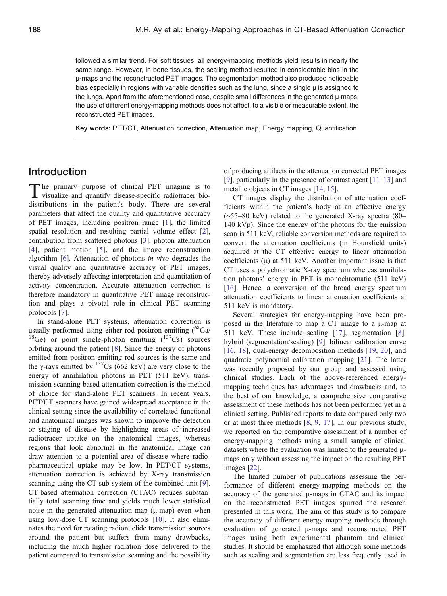followed a similar trend. For soft tissues, all energy-mapping methods yield results in nearly the same range. However, in bone tissues, the scaling method resulted in considerable bias in the µ-maps and the reconstructed PET images. The segmentation method also produced noticeable bias especially in regions with variable densities such as the lung, since a single  $\mu$  is assigned to the lungs. Apart from the aforementioned case, despite small differences in the generated  $\mu$ -maps, the use of different energy-mapping methods does not affect, to a visible or measurable extent, the reconstructed PET images.

Key words: PET/CT, Attenuation correction, Attenuation map, Energy mapping, Quantification

## Introduction

The primary purpose of clinical PET imaging is to visualize and quantify disease-specific radiotracer biodistributions in the patient's body. There are several parameters that affect the quality and quantitative accuracy of PET images, including positron range [\[1](#page-11-0)], the limited spatial resolution and resulting partial volume effect [\[2](#page-11-0)], contribution from scattered photons [\[3](#page-11-0)], photon attenuation [\[4](#page-11-0)], patient motion [[5](#page-11-0)], and the image reconstruction algorithm [\[6](#page-11-0)]. Attenuation of photons in vivo degrades the visual quality and quantitative accuracy of PET images, thereby adversely affecting interpretation and quantitation of activity concentration. Accurate attenuation correction is therefore mandatory in quantitative PET image reconstruction and plays a pivotal role in clinical PET scanning protocols [\[7](#page-11-0)].

In stand-alone PET systems, attenuation correction is usually performed using either rod positron-emitting  $\binom{68}{6}$  $^{68}$ Ge) or point single-photon emitting  $(^{137}Cs)$  sources orbiting around the patient [\[8](#page-11-0)]. Since the energy of photons emitted from positron-emitting rod sources is the same and the γ-rays emitted by  $137Cs$  (662 keV) are very close to the energy of annihilation photons in PET (511 keV), transmission scanning-based attenuation correction is the method of choice for stand-alone PET scanners. In recent years, PET/CT scanners have gained widespread acceptance in the clinical setting since the availability of correlated functional and anatomical images was shown to improve the detection or staging of disease by highlighting areas of increased radiotracer uptake on the anatomical images, whereas regions that look abnormal in the anatomical image can draw attention to a potential area of disease where radiopharmaceutical uptake may be low. In PET/CT systems, attenuation correction is achieved by X-ray transmission scanning using the CT sub-system of the combined unit [\[9](#page-11-0)]. CT-based attenuation correction (CTAC) reduces substantially total scanning time and yields much lower statistical noise in the generated attenuation map (µ-map) even when using low-dose CT scanning protocols [[10\]](#page-11-0). It also eliminates the need for rotating radionuclide transmission sources around the patient but suffers from many drawbacks, including the much higher radiation dose delivered to the patient compared to transmission scanning and the possibility

of producing artifacts in the attenuation corrected PET images [\[9\]](#page-11-0), particularly in the presence of contrast agent [\[11](#page-11-0)–[13\]](#page-11-0) and metallic objects in CT images [[14,](#page-11-0) [15\]](#page-11-0).

CT images display the distribution of attenuation coefficients within the patient's body at an effective energy (∼55–80 keV) related to the generated X-ray spectra (80– 140 kVp). Since the energy of the photons for the emission scan is 511 keV, reliable conversion methods are required to convert the attenuation coefficients (in Hounsfield units) acquired at the CT effective energy to linear attenuation coefficients  $(\mu)$  at 511 keV. Another important issue is that CT uses a polychromatic X-ray spectrum whereas annihilation photons' energy in PET is monochromatic (511 keV) [\[16](#page-11-0)]. Hence, a conversion of the broad energy spectrum attenuation coefficients to linear attenuation coefficients at 511 keV is mandatory.

Several strategies for energy-mapping have been proposed in the literature to map a CT image to a µ-map at 511 keV. These include scaling [[17\]](#page-11-0), segmentation [\[8](#page-11-0)], hybrid (segmentation/scaling) [\[9](#page-11-0)], bilinear calibration curve [\[16](#page-11-0), [18](#page-11-0)], dual-energy decomposition methods [\[19](#page-11-0), [20](#page-11-0)], and quadratic polynomial calibration mapping [\[21](#page-11-0)]. The latter was recently proposed by our group and assessed using clinical studies. Each of the above-referenced energymapping techniques has advantages and drawbacks and, to the best of our knowledge, a comprehensive comparative assessment of these methods has not been performed yet in a clinical setting. Published reports to date compared only two or at most three methods [\[8](#page-11-0), [9,](#page-11-0) [17\]](#page-11-0). In our previous study, we reported on the comparative assessment of a number of energy-mapping methods using a small sample of clinical datasets where the evaluation was limited to the generated µmaps only without assessing the impact on the resulting PET images [\[22](#page-11-0)].

The limited number of publications assessing the performance of different energy-mapping methods on the accuracy of the generated µ-maps in CTAC and its impact on the reconstructed PET images spurred the research presented in this work. The aim of this study is to compare the accuracy of different energy-mapping methods through evaluation of generated µ-maps and reconstructed PET images using both experimental phantom and clinical studies. It should be emphasized that although some methods such as scaling and segmentation are less frequently used in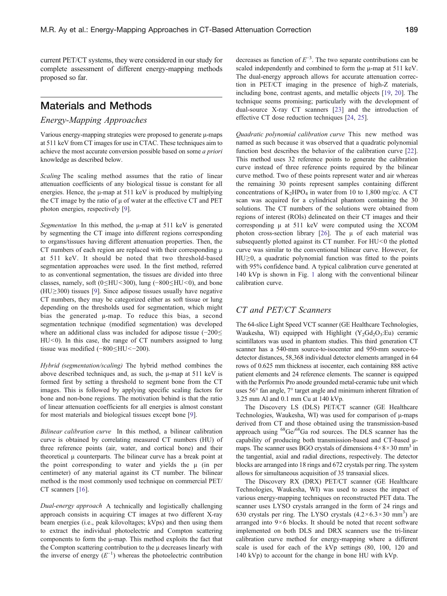<span id="page-2-0"></span>current PET/CT systems, they were considered in our study for complete assessment of different energy-mapping methods proposed so far.

## Materials and Methods

Energy-Mapping Approaches

Various energy-mapping strategies were proposed to generate µ-maps at 511 keV from CT images for use in CTAC. These techniques aim to achieve the most accurate conversion possible based on some a priori knowledge as described below.

Scaling The scaling method assumes that the ratio of linear attenuation coefficients of any biological tissue is constant for all energies. Hence, the  $\mu$ -map at 511 keV is produced by multiplying the CT image by the ratio of  $\mu$  of water at the effective CT and PET photon energies, respectively [[9](#page-11-0)].

Segmentation In this method, the  $\mu$ -map at 511 keV is generated by segmenting the CT image into different regions corresponding to organs/tissues having different attenuation properties. Then, the CT numbers of each region are replaced with their corresponding  $\mu$ at 511 keV. It should be noted that two threshold-based segmentation approaches were used. In the first method, referred to as conventional segmentation, the tissues are divided into three classes, namely, soft (0≤HU<300), lung (-800≤HU<0), and bone (HU≥300) tissues [[9](#page-11-0)]. Since adipose tissues usually have negative CT numbers, they may be categorized either as soft tissue or lung depending on the thresholds used for segmentation, which might bias the generated µ-map. To reduce this bias, a second segmentation technique (modified segmentation) was developed where an additional class was included for adipose tissue (−200≤  $HU<0$ ). In this case, the range of CT numbers assigned to lung tissue was modified (−800≤HU < −200).

Hybrid (segmentation/scaling) The hybrid method combines the above described techniques and, as such, the µ-map at 511 keV is formed first by setting a threshold to segment bone from the CT images. This is followed by applying specific scaling factors for bone and non-bone regions. The motivation behind is that the ratio of linear attenuation coefficients for all energies is almost constant for most materials and biological tissues except bone [[9](#page-11-0)].

Bilinear calibration curve In this method, a bilinear calibration curve is obtained by correlating measured CT numbers (HU) of three reference points (air, water, and cortical bone) and their theoretical  $\mu$  counterparts. The bilinear curve has a break point at the point corresponding to water and yields the  $\mu$  (in per centimeter) of any material against its CT number. The bilinear method is the most commonly used technique on commercial PET/ CT scanners [[16](#page-11-0)].

Dual-energy approach A technically and logistically challenging approach consists in acquiring CT images at two different X-ray beam energies (i.e., peak kilovoltages; kVps) and then using them to extract the individual photoelectric and Compton scattering components to form the µ-map. This method exploits the fact that the Compton scattering contribution to the  $\mu$  decreases linearly with the inverse of energy  $(E^{-1})$  whereas the photoelectric contribution

decreases as function of  $E^{-3}$ . The two separate contributions can be scaled independently and combined to form the  $\mu$ -map at 511 keV. The dual-energy approach allows for accurate attenuation correction in PET/CT imaging in the presence of high-Z materials, including bone, contrast agents, and metallic objects [[19,](#page-11-0) [20\]](#page-11-0). The technique seems promising; particularly with the development of dual-source X-ray CT scanners [\[23](#page-11-0)] and the introduction of effective CT dose reduction techniques [[24,](#page-11-0) [25\]](#page-11-0).

Quadratic polynomial calibration curve This new method was named as such because it was observed that a quadratic polynomial function best describes the behavior of the calibration curve [[22\]](#page-11-0). This method uses 32 reference points to generate the calibration curve instead of three reference points required by the bilinear curve method. Two of these points represent water and air whereas the remaining 30 points represent samples containing different concentrations of  $K_2HPO_4$  in water from 10 to 1,800 mg/cc. A CT scan was acquired for a cylindrical phantom containing the 30 solutions. The CT numbers of the solutions were obtained from regions of interest (ROIs) delineated on their CT images and their corresponding  $\mu$  at 511 keV were computed using the XCOM photon cross-section library  $[26]$  $[26]$  $[26]$ . The  $\mu$  of each material was subsequently plotted against its  $CT$  number. For  $HU < 0$  the plotted curve was similar to the conventional bilinear curve. However, for HU≥0, a quadratic polynomial function was fitted to the points with 95% confidence band. A typical calibration curve generated at 140 kVp is shown in Fig. [1](#page-3-0) along with the conventional bilinear calibration curve.

## CT and PET/CT Scanners

The 64-slice Light Speed VCT scanner (GE Healthcare Technologies, Waukesha, WI) equipped with Highlight  $(Y_2Gd_2O_3:Eu)$  ceramic scintillators was used in phantom studies. This third generation CT scanner has a 540-mm source-to-isocenter and 950-mm source-todetector distances, 58,368 individual detector elements arranged in 64 rows of 0.625 mm thickness at isocenter, each containing 888 active patient elements and 24 reference elements. The scanner is equipped with the Performix Pro anode grounded metal-ceramic tube unit which uses 56° fan angle, 7° target angle and minimum inherent filtration of 3.25 mm Al and 0.1 mm Cu at 140 kVp.

The Discovery LS (DLS) PET/CT scanner (GE Healthcare Technologies, Waukesha, WI) was used for comparison of u-maps derived from CT and those obtained using the transmission-based approach using 68Ge/68Ga rod sources. The DLS scanner has the capability of producing both transmission-based and CT-based µmaps. The scanner uses BGO crystals of dimensions  $4 \times 8 \times 30$  mm<sup>3</sup> in the tangential, axial and radial directions, respectively. The detector blocks are arranged into 18 rings and 672 crystals per ring. The system allows for simultaneous acquisition of 35 transaxial slices.

The Discovery RX (DRX) PET/CT scanner (GE Healthcare Technologies, Waukesha, WI) was used to assess the impact of various energy-mapping techniques on reconstructed PET data. The scanner uses LYSO crystals arranged in the form of 24 rings and 630 crystals per ring. The LYSO crystals  $(4.2 \times 6.3 \times 30 \text{ mm}^3)$  are arranged into 9×6 blocks. It should be noted that recent software implemented on both DLS and DRX scanners use the tri-linear calibration curve method for energy-mapping where a different scale is used for each of the kVp settings (80, 100, 120 and 140 kVp) to account for the change in bone HU with kVp.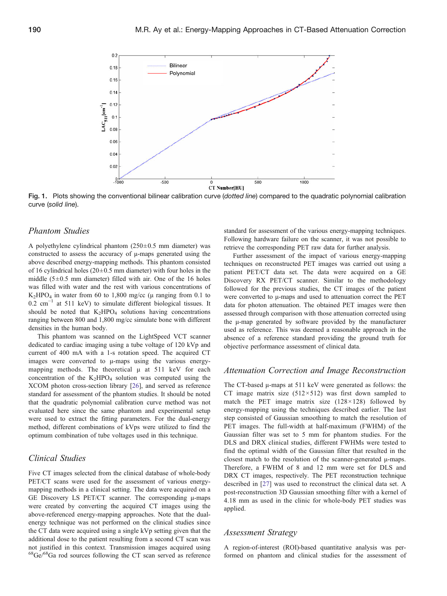<span id="page-3-0"></span>

Fig. 1. Plots showing the conventional bilinear calibration curve (dotted line) compared to the quadratic polynomial calibration curve (solid line).

#### Phantom Studies

A polyethylene cylindrical phantom  $(250\pm0.5 \text{ mm}$  diameter) was constructed to assess the accuracy of  $\mu$ -maps generated using the above described energy-mapping methods. This phantom consisted of 16 cylindrical holes ( $20\pm0.5$  mm diameter) with four holes in the middle ( $5\pm0.5$  mm diameter) filled with air. One of the 16 holes was filled with water and the rest with various concentrations of  $K_2HPO_4$  in water from 60 to 1,800 mg/cc ( $\mu$  ranging from 0.1 to 0.2 cm−<sup>1</sup> at 511 keV) to simulate different biological tissues. It should be noted that  $K_2HPO_4$  solutions having concentrations ranging between 800 and 1,800 mg/cc simulate bone with different densities in the human body.

This phantom was scanned on the LightSpeed VCT scanner dedicated to cardiac imaging using a tube voltage of 120 kVp and current of 400 mA with a 1-s rotation speed. The acquired CT images were converted to µ-maps using the various energymapping methods. The theoretical  $\mu$  at 511 keV for each concentration of the  $K_2HPO_4$  solution was computed using the XCOM photon cross-section library [[26\]](#page-11-0), and served as reference standard for assessment of the phantom studies. It should be noted that the quadratic polynomial calibration curve method was not evaluated here since the same phantom and experimental setup were used to extract the fitting parameters. For the dual-energy method, different combinations of kVps were utilized to find the optimum combination of tube voltages used in this technique.

#### Clinical Studies

Five CT images selected from the clinical database of whole-body PET/CT scans were used for the assessment of various energymapping methods in a clinical setting. The data were acquired on a GE Discovery LS PET/CT scanner. The corresponding µ-maps were created by converting the acquired CT images using the above-referenced energy-mapping approaches. Note that the dualenergy technique was not performed on the clinical studies since the CT data were acquired using a single kVp setting given that the additional dose to the patient resulting from a second CT scan was not justified in this context. Transmission images acquired using 68Ge/68Ga rod sources following the CT scan served as reference

standard for assessment of the various energy-mapping techniques. Following hardware failure on the scanner, it was not possible to retrieve the corresponding PET raw data for further analysis.

Further assessment of the impact of various energy-mapping techniques on reconstructed PET images was carried out using a patient PET/CT data set. The data were acquired on a GE Discovery RX PET/CT scanner. Similar to the methodology followed for the previous studies, the CT images of the patient were converted to µ-maps and used to attenuation correct the PET data for photon attenuation. The obtained PET images were then assessed through comparison with those attenuation corrected using the µ-map generated by software provided by the manufacturer used as reference. This was deemed a reasonable approach in the absence of a reference standard providing the ground truth for objective performance assessment of clinical data.

#### Attenuation Correction and Image Reconstruction

The CT-based µ-maps at 511 keV were generated as follows: the CT image matrix size  $(512 \times 512)$  was first down sampled to match the PET image matrix size  $(128 \times 128)$  followed by energy-mapping using the techniques described earlier. The last step consisted of Gaussian smoothing to match the resolution of PET images. The full-width at half-maximum (FWHM) of the Gaussian filter was set to 5 mm for phantom studies. For the DLS and DRX clinical studies, different FWHMs were tested to find the optimal width of the Gaussian filter that resulted in the closest match to the resolution of the scanner-generated  $\mu$ -maps. Therefore, a FWHM of 8 and 12 mm were set for DLS and DRX CT images, respectively. The PET reconstruction technique described in [\[27](#page-11-0)] was used to reconstruct the clinical data set. A post-reconstruction 3D Gaussian smoothing filter with a kernel of 4.18 mm as used in the clinic for whole-body PET studies was applied.

#### Assessment Strategy

A region-of-interest (ROI)-based quantitative analysis was performed on phantom and clinical studies for the assessment of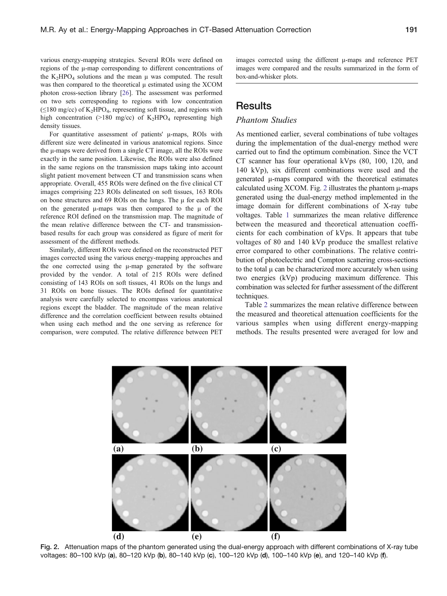various energy-mapping strategies. Several ROIs were defined on regions of the µ-map corresponding to different concentrations of the  $K_2HPO_4$  solutions and the mean  $\mu$  was computed. The result was then compared to the theoretical  $\mu$  estimated using the XCOM photon cross-section library [[26\]](#page-11-0). The assessment was performed on two sets corresponding to regions with low concentration  $(\leq 180 \text{ mg/cc})$  of K<sub>2</sub>HPO<sub>4</sub>, representing soft tissue, and regions with high concentration (>180 mg/cc) of  $K_2HPO_4$  representing high density tissues.

For quantitative assessment of patients' µ-maps, ROIs with different size were delineated in various anatomical regions. Since the µ-maps were derived from a single CT image, all the ROIs were exactly in the same position. Likewise, the ROIs were also defined in the same regions on the transmission maps taking into account slight patient movement between CT and transmission scans when appropriate. Overall, 455 ROIs were defined on the five clinical CT images comprising 223 ROIs delineated on soft tissues, 163 ROIs on bone structures and 69 ROIs on the lungs. The  $\mu$  for each ROI on the generated  $\mu$ -maps was then compared to the  $\mu$  of the reference ROI defined on the transmission map. The magnitude of the mean relative difference between the CT- and transmissionbased results for each group was considered as figure of merit for assessment of the different methods.

Similarly, different ROIs were defined on the reconstructed PET images corrected using the various energy-mapping approaches and the one corrected using the µ-map generated by the software provided by the vendor. A total of 215 ROIs were defined consisting of 143 ROIs on soft tissues, 41 ROIs on the lungs and 31 ROIs on bone tissues. The ROIs defined for quantitative analysis were carefully selected to encompass various anatomical regions except the bladder. The magnitude of the mean relative difference and the correlation coefficient between results obtained when using each method and the one serving as reference for comparison, were computed. The relative difference between PET images corrected using the different µ-maps and reference PET images were compared and the results summarized in the form of box-and-whisker plots.

## **Results**

### Phantom Studies

As mentioned earlier, several combinations of tube voltages during the implementation of the dual-energy method were carried out to find the optimum combination. Since the VCT CT scanner has four operational kVps (80, 100, 120, and 140 kVp), six different combinations were used and the generated µ-maps compared with the theoretical estimates calculated using XCOM. Fig. 2 illustrates the phantom  $\mu$ -maps generated using the dual-energy method implemented in the image domain for different combinations of X-ray tube voltages. Table [1](#page-5-0) summarizes the mean relative difference between the measured and theoretical attenuation coefficients for each combination of kVps. It appears that tube voltages of 80 and 140 kVp produce the smallest relative error compared to other combinations. The relative contribution of photoelectric and Compton scattering cross-sections to the total  $\mu$  can be characterized more accurately when using two energies (kVp) producing maximum difference. This combination was selected for further assessment of the different techniques.

Table [2](#page-5-0) summarizes the mean relative difference between the measured and theoretical attenuation coefficients for the various samples when using different energy-mapping methods. The results presented were averaged for low and



Fig. 2. Attenuation maps of the phantom generated using the dual-energy approach with different combinations of X-ray tube voltages: 80–100 kVp (a), 80–120 kVp (b), 80–140 kVp (c), 100–120 kVp (d), 100–140 kVp (e), and 120–140 kVp (f).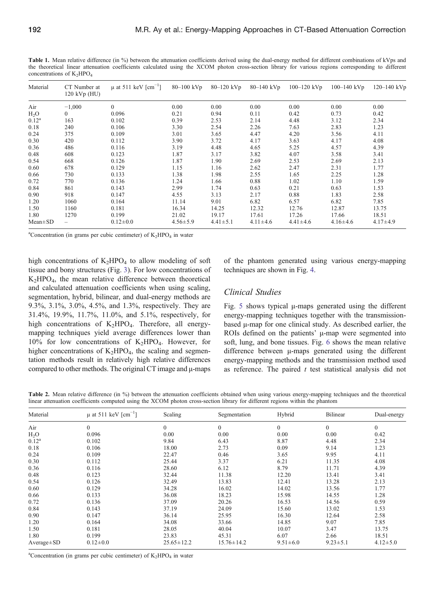<span id="page-5-0"></span>Table 1. Mean relative difference (in %) between the attenuation coefficients derived using the dual-energy method for different combinations of kVps and the theoretical linear attenuation coefficients calculated using the XCOM photon cross-section library for various regions corresponding to different concentrations of  $K_2HPO_4$ 

| Material      | CT Number at<br>$120$ kVp (HU) | $\mu$ at 511 keV $\lceil$ cm <sup>-1</sup> ] | $80 - 100$ kVp | $80 - 120$ kVp | $80 - 140$ kVp | $100 - 120$ kVp | $100 - 140$ kVp | $120 - 140$ kVp |
|---------------|--------------------------------|----------------------------------------------|----------------|----------------|----------------|-----------------|-----------------|-----------------|
| Air           | $-1,000$                       | $\Omega$                                     | 0.00           | 0.00           | 0.00           | 0.00            | 0.00            | 0.00            |
| $H_2O$        | $\theta$                       | 0.096                                        | 0.21           | 0.94           | 0.11           | 0.42            | 0.73            | 0.42            |
| $0.12^a$      | 163                            | 0.102                                        | 0.39           | 2.53           | 2.14           | 4.48            | 3.12            | 2.34            |
| 0.18          | 240                            | 0.106                                        | 3.30           | 2.54           | 2.26           | 7.63            | 2.83            | 1.23            |
| 0.24          | 375                            | 0.109                                        | 3.01           | 3.65           | 4.47           | 4.20            | 3.56            | 4.11            |
| 0.30          | 420                            | 0.112                                        | 3.90           | 3.72           | 4.17           | 3.63            | 4.17            | 4.08            |
| 0.36          | 486                            | 0.116                                        | 3.19           | 4.48           | 4.65           | 5.25            | 4.57            | 4.39            |
| 0.48          | 608                            | 0.123                                        | 1.87           | 3.17           | 3.82           | 4.07            | 3.58            | 3.41            |
| 0.54          | 668                            | 0.126                                        | 1.87           | 1.90           | 2.69           | 2.53            | 2.69            | 2.13            |
| 0.60          | 678                            | 0.129                                        | 1.15           | 1.16           | 2.62           | 2.47            | 2.31            | 1.77            |
| 0.66          | 730                            | 0.133                                        | 1.38           | 1.98           | 2.55           | 1.65            | 2.25            | 1.28            |
| 0.72          | 770                            | 0.136                                        | 1.24           | 1.66           | 0.88           | 1.02            | 1.10            | 1.59            |
| 0.84          | 861                            | 0.143                                        | 2.99           | 1.74           | 0.63           | 0.21            | 0.63            | 1.53            |
| 0.90          | 918                            | 0.147                                        | 4.55           | 3.13           | 2.17           | 0.88            | 1.83            | 2.58            |
| 1.20          | 1060                           | 0.164                                        | 11.14          | 9.01           | 6.82           | 6.57            | 6.82            | 7.85            |
| 1.50          | 1160                           | 0.181                                        | 16.34          | 14.25          | 12.32          | 12.76           | 12.87           | 13.75           |
| 1.80          | 1270                           | 0.199                                        | 21.02          | 19.17          | 17.61          | 17.26           | 17.66           | 18.51           |
| $Mean \pm SD$ |                                | $0.12 \pm 0.0$                               | $4.56 \pm 5.9$ | $4.41 \pm 5.1$ | $4.11 \pm 4.6$ | $4.41 \pm 4.6$  | $4.16 \pm 4.6$  | $4.17 \pm 4.9$  |

<sup>a</sup>Concentration (in grams per cubic centimeter) of  $K_2HPO_4$  in water

high concentrations of  $K_2HPO_4$  to allow modeling of soft tissue and bony structures (Fig. [3\)](#page-6-0). For low concentrations of  $K<sub>2</sub>HPO<sub>4</sub>$ , the mean relative difference between theoretical and calculated attenuation coefficients when using scaling, segmentation, hybrid, bilinear, and dual-energy methods are 9.3%, 3.1%, 3.0%, 4.5%, and 1.3%, respectively. They are 31.4%, 19.9%, 11.7%, 11.0%, and 5.1%, respectively, for high concentrations of  $K_2HPO_4$ . Therefore, all energymapping techniques yield average differences lower than  $10\%$  for low concentrations of K<sub>2</sub>HPO<sub>4</sub>. However, for higher concentrations of  $K_2HPO_4$ , the scaling and segmentation methods result in relatively high relative differences compared to other methods. The original CT image and  $\mu$ -maps

of the phantom generated using various energy-mapping techniques are shown in Fig. [4](#page-6-0).

#### Clinical Studies

Fig. [5](#page-7-0) shows typical µ-maps generated using the different energy-mapping techniques together with the transmissionbased µ-map for one clinical study. As described earlier, the ROIs defined on the patients'  $\mu$ -map were segmented into soft, lung, and bone tissues. Fig. [6](#page-7-0) shows the mean relative difference between µ-maps generated using the different energy-mapping methods and the transmission method used as reference. The paired  $t$  test statistical analysis did not

Table 2. Mean relative difference (in %) between the attenuation coefficients obtained when using various energy-mapping techniques and the theoretical linear attenuation coefficients computed using the XCOM photon cross-section library for different regions within the phantom

| Material         | $\mu$ at 511 keV $\lceil$ cm <sup>-1</sup> ] | Scaling          | Segmentation     | Hybrid         | Bilinear       | Dual-energy    |
|------------------|----------------------------------------------|------------------|------------------|----------------|----------------|----------------|
| Air              | $\Omega$                                     | $\Omega$         | $\theta$         | $\Omega$       | $\theta$       | $\Omega$       |
| $H_2O$           | 0.096                                        | 0.00             | 0.00             | 0.00           | 0.00           | 0.42           |
| $0.12^a$         | 0.102                                        | 9.84             | 6.43             | 8.87           | 4.48           | 2.34           |
| 0.18             | 0.106                                        | 18.00            | 2.73             | 0.09           | 9.14           | 1.23           |
| 0.24             | 0.109                                        | 22.47            | 0.46             | 3.65           | 9.95           | 4.11           |
| 0.30             | 0.112                                        | 25.44            | 3.37             | 6.21           | 11.35          | 4.08           |
| 0.36             | 0.116                                        | 28.60            | 6.12             | 8.79           | 11.71          | 4.39           |
| 0.48             | 0.123                                        | 32.44            | 11.38            | 12.20          | 13.41          | 3.41           |
| 0.54             | 0.126                                        | 32.49            | 13.83            | 12.41          | 13.28          | 2.13           |
| 0.60             | 0.129                                        | 34.28            | 16.02            | 14.02          | 13.56          | 1.77           |
| 0.66             | 0.133                                        | 36.08            | 18.23            | 15.98          | 14.55          | 1.28           |
| 0.72             | 0.136                                        | 37.09            | 20.26            | 16.53          | 14.56          | 0.59           |
| 0.84             | 0.143                                        | 37.19            | 24.09            | 15.60          | 13.02          | 1.53           |
| 0.90             | 0.147                                        | 36.14            | 25.95            | 16.30          | 12.64          | 2.58           |
| 1.20             | 0.164                                        | 34.08            | 33.66            | 14.85          | 9.07           | 7.85           |
| 1.50             | 0.181                                        | 28.05            | 40.04            | 10.07          | 3.47           | 13.75          |
| 1.80             | 0.199                                        | 23.83            | 45.31            | 6.07           | 2.66           | 18.51          |
| $Average \pm SD$ | $0.12 \pm 0.0$                               | $25.65 \pm 12.2$ | $15.76 \pm 14.2$ | $9.51 \pm 6.0$ | $9.23 \pm 5.1$ | $4.12 \pm 5.0$ |

<sup>a</sup>Concentration (in grams per cubic centimeter) of  $K_2HPO_4$  in water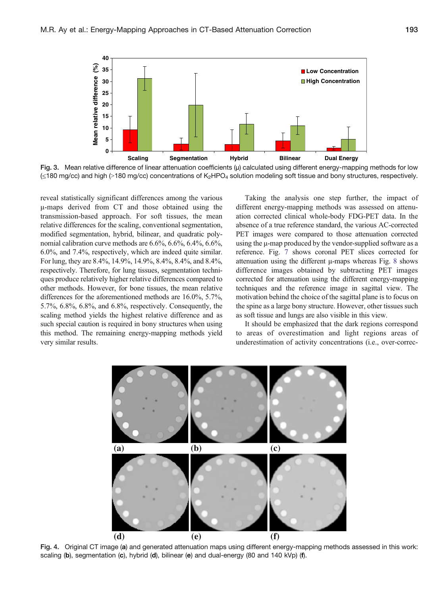<span id="page-6-0"></span>

Fig. 3. Mean relative difference of linear attenuation coefficients (µ) calculated using different energy-mapping methods for low  $\leq$ 180 mg/cc) and high (>180 mg/cc) concentrations of K<sub>2</sub>HPO<sub>4</sub> solution modeling soft tissue and bony structures, respectively.

reveal statistically significant differences among the various µ-maps derived from CT and those obtained using the transmission-based approach. For soft tissues, the mean relative differences for the scaling, conventional segmentation, modified segmentation, hybrid, bilinear, and quadratic polynomial calibration curve methods are 6.6%, 6.6%, 6.4%, 6.6%, 6.0%, and 7.4%, respectively, which are indeed quite similar. For lung, they are 8.4%, 14.9%, 14.9%, 8.4%, 8.4%, and 8.4%, respectively. Therefore, for lung tissues, segmentation techniques produce relatively higher relative differences compared to other methods. However, for bone tissues, the mean relative differences for the aforementioned methods are 16.0%, 5.7%, 5.7%, 6.8%, 6.8%, and 6.8%, respectively. Consequently, the scaling method yields the highest relative difference and as such special caution is required in bony structures when using this method. The remaining energy-mapping methods yield very similar results.

Taking the analysis one step further, the impact of different energy-mapping methods was assessed on attenuation corrected clinical whole-body FDG-PET data. In the absence of a true reference standard, the various AC-corrected PET images were compared to those attenuation corrected using the µ-map produced by the vendor-supplied software as a reference. Fig. [7](#page-8-0) shows coronal PET slices corrected for attenuation using the different  $\mu$ -maps whereas Fig. [8](#page-9-0) shows difference images obtained by subtracting PET images corrected for attenuation using the different energy-mapping techniques and the reference image in sagittal view. The motivation behind the choice of the sagittal plane is to focus on the spine as a large bony structure. However, other tissues such as soft tissue and lungs are also visible in this view.

It should be emphasized that the dark regions correspond to areas of overestimation and light regions areas of underestimation of activity concentrations (i.e., over-correc-



Fig. 4. Original CT image (a) and generated attenuation maps using different energy-mapping methods assessed in this work: scaling (b), segmentation (c), hybrid (d), bilinear (e) and dual-energy (80 and 140 kVp) (f).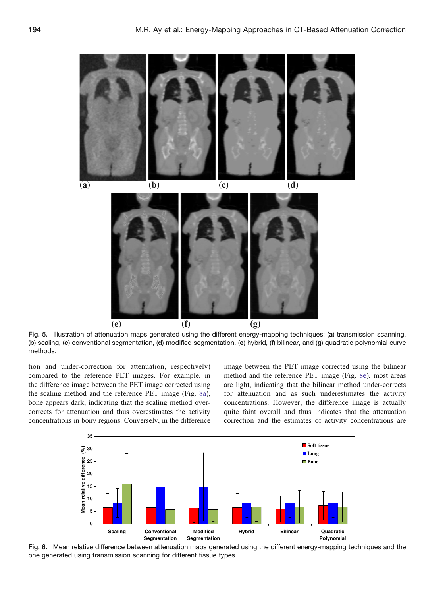<span id="page-7-0"></span>

Fig. 5. Illustration of attenuation maps generated using the different energy-mapping techniques: (a) transmission scanning, (b) scaling, (c) conventional segmentation, (d) modified segmentation, (e) hybrid, (f) bilinear, and (g) quadratic polynomial curve methods.

tion and under-correction for attenuation, respectively) compared to the reference PET images. For example, in the difference image between the PET image corrected using the scaling method and the reference PET image (Fig. [8a](#page-9-0)), bone appears dark, indicating that the scaling method overcorrects for attenuation and thus overestimates the activity concentrations in bony regions. Conversely, in the difference

image between the PET image corrected using the bilinear method and the reference PET image (Fig. [8e](#page-9-0)), most areas are light, indicating that the bilinear method under-corrects for attenuation and as such underestimates the activity concentrations. However, the difference image is actually quite faint overall and thus indicates that the attenuation correction and the estimates of activity concentrations are



Fig. 6. Mean relative difference between attenuation maps generated using the different energy-mapping techniques and the one generated using transmission scanning for different tissue types.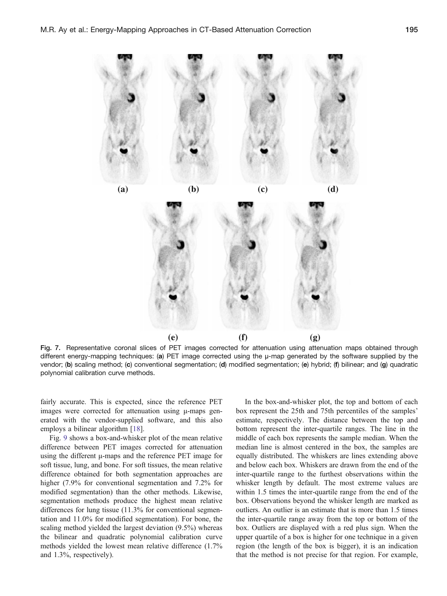<span id="page-8-0"></span>

Fig. 7. Representative coronal slices of PET images corrected for attenuation using attenuation maps obtained through different energy-mapping techniques: (a) PET image corrected using the  $\mu$ -map generated by the software supplied by the vendor; (b) scaling method; (c) conventional segmentation; (d) modified segmentation; (e) hybrid; (f) bilinear; and (g) quadratic polynomial calibration curve methods.

fairly accurate. This is expected, since the reference PET images were corrected for attenuation using µ-maps generated with the vendor-supplied software, and this also employs a bilinear algorithm [[18\]](#page-11-0).

Fig. [9](#page-9-0) shows a box-and-whisker plot of the mean relative difference between PET images corrected for attenuation using the different µ-maps and the reference PET image for soft tissue, lung, and bone. For soft tissues, the mean relative difference obtained for both segmentation approaches are higher (7.9% for conventional segmentation and 7.2% for modified segmentation) than the other methods. Likewise, segmentation methods produce the highest mean relative differences for lung tissue (11.3% for conventional segmentation and 11.0% for modified segmentation). For bone, the scaling method yielded the largest deviation (9.5%) whereas the bilinear and quadratic polynomial calibration curve methods yielded the lowest mean relative difference (1.7% and 1.3%, respectively).

In the box-and-whisker plot, the top and bottom of each box represent the 25th and 75th percentiles of the samples' estimate, respectively. The distance between the top and bottom represent the inter-quartile ranges. The line in the middle of each box represents the sample median. When the median line is almost centered in the box, the samples are equally distributed. The whiskers are lines extending above and below each box. Whiskers are drawn from the end of the inter-quartile range to the furthest observations within the whisker length by default. The most extreme values are within 1.5 times the inter-quartile range from the end of the box. Observations beyond the whisker length are marked as outliers. An outlier is an estimate that is more than 1.5 times the inter-quartile range away from the top or bottom of the box. Outliers are displayed with a red plus sign. When the upper quartile of a box is higher for one technique in a given region (the length of the box is bigger), it is an indication that the method is not precise for that region. For example,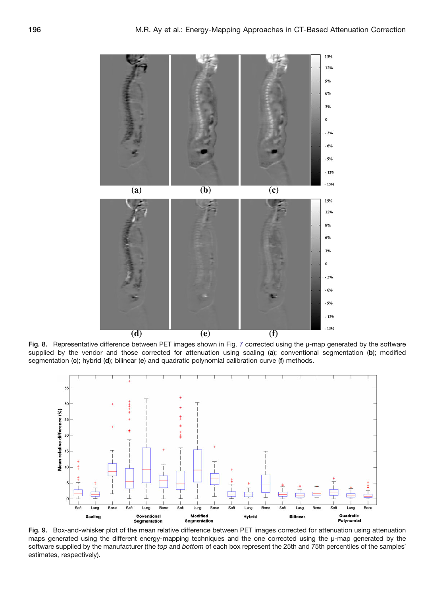<span id="page-9-0"></span>

Fig. 8. Representative difference between PET images shown in Fig. [7](#page-8-0) corrected using the µ-map generated by the software supplied by the vendor and those corrected for attenuation using scaling (a); conventional segmentation (b); modified segmentation (c); hybrid (d); bilinear (e) and quadratic polynomial calibration curve (f) methods.



Fig. 9. Box-and-whisker plot of the mean relative difference between PET images corrected for attenuation using attenuation maps generated using the different energy-mapping techniques and the one corrected using the µ-map generated by the software supplied by the manufacturer (the top and bottom of each box represent the 25th and 75th percentiles of the samples' estimates, respectively).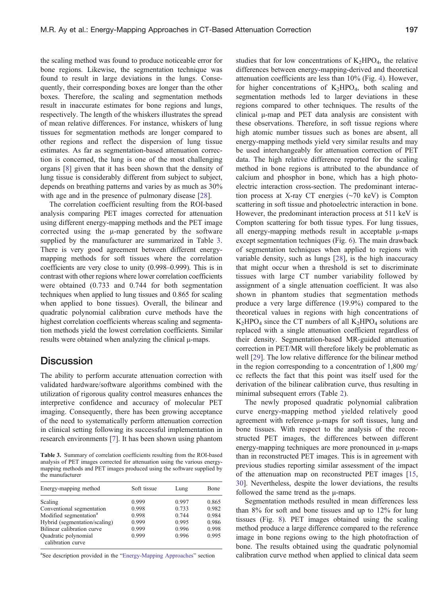the scaling method was found to produce noticeable error for bone regions. Likewise, the segmentation technique was found to result in large deviations in the lungs. Consequently, their corresponding boxes are longer than the other boxes. Therefore, the scaling and segmentation methods result in inaccurate estimates for bone regions and lungs, respectively. The length of the whiskers illustrates the spread of mean relative differences. For instance, whiskers of lung tissues for segmentation methods are longer compared to other regions and reflect the dispersion of lung tissue estimates. As far as segmentation-based attenuation correction is concerned, the lung is one of the most challenging organs [\[8](#page-11-0)] given that it has been shown that the density of lung tissue is considerably different from subject to subject, depends on breathing patterns and varies by as much as 30% with age and in the presence of pulmonary disease [\[28](#page-11-0)].

The correlation coefficient resulting from the ROI-based analysis comparing PET images corrected for attenuation using different energy-mapping methods and the PET image corrected using the µ-map generated by the software supplied by the manufacturer are summarized in Table 3. There is very good agreement between different energymapping methods for soft tissues where the correlation coefficients are very close to unity (0.998–0.999). This is in contrast with other regions where lower correlation coefficients were obtained (0.733 and 0.744 for both segmentation techniques when applied to lung tissues and 0.865 for scaling when applied to bone tissues). Overall, the bilinear and quadratic polynomial calibration curve methods have the highest correlation coefficients whereas scaling and segmentation methods yield the lowest correlation coefficients. Similar results were obtained when analyzing the clinical µ-maps.

## **Discussion**

The ability to perform accurate attenuation correction with validated hardware/software algorithms combined with the utilization of rigorous quality control measures enhances the interpretive confidence and accuracy of molecular PET imaging. Consequently, there has been growing acceptance of the need to systematically perform attenuation correction in clinical setting following its successful implementation in research environments [[7\]](#page-11-0). It has been shown using phantom

Table 3. Summary of correlation coefficients resulting from the ROI-based analysis of PET images corrected for attenuation using the various energymapping methods and PET images produced using the software supplied by the manufacturer

| Energy-mapping method                     | Soft tissue | Lung  | Bone  |  |
|-------------------------------------------|-------------|-------|-------|--|
| Scaling                                   | 0.999       | 0.997 | 0.865 |  |
| Conventional segmentation                 | 0.998       | 0.733 | 0.982 |  |
| Modified segmentation <sup>a</sup>        | 0.998       | 0.744 | 0.984 |  |
| Hybrid (segmentation/scaling)             | 0.999       | 0.995 | 0.986 |  |
| Bilinear calibration curve                | 0.999       | 0.996 | 0.998 |  |
| Quadratic polynomial<br>calibration curve | 0.999       | 0.996 | 0.995 |  |

<sup>a</sup>See description provided in the "[Energy-Mapping Approaches](#page-2-0)" section

studies that for low concentrations of  $K_2HPO_4$ , the relative differences between energy-mapping-derived and theoretical attenuation coefficients are less than 10% (Fig. [4\)](#page-6-0). However, for higher concentrations of  $K_2HPO_4$ , both scaling and segmentation methods led to larger deviations in these regions compared to other techniques. The results of the clinical µ-map and PET data analysis are consistent with these observations. Therefore, in soft tissue regions where high atomic number tissues such as bones are absent, all energy-mapping methods yield very similar results and may be used interchangeably for attenuation correction of PET data. The high relative difference reported for the scaling method in bone regions is attributed to the abundance of calcium and phosphor in bone, which has a high photoelectric interaction cross-section. The predominant interaction process at X-ray CT energies (∼70 keV) is Compton scattering in soft tissue and photoelectric interaction in bone. However, the predominant interaction process at 511 keV is Compton scattering for both tissue types. For lung tissues, all energy-mapping methods result in acceptable µ-maps except segmentation techniques (Fig. [6\)](#page-7-0). The main drawback of segmentation techniques when applied to regions with variable density, such as lungs [\[28](#page-11-0)], is the high inaccuracy that might occur when a threshold is set to discriminate tissues with large CT number variability followed by assignment of a single attenuation coefficient. It was also shown in phantom studies that segmentation methods produce a very large difference (19.9%) compared to the theoretical values in regions with high concentrations of  $K_2HPO_4$  since the CT numbers of all  $K_2HPO_4$  solutions are replaced with a single attenuation coefficient regardless of their density. Segmentation-based MR-guided attenuation correction in PET/MR will therefore likely be problematic as well [[29\]](#page-11-0). The low relative difference for the bilinear method in the region corresponding to a concentration of 1,800 mg/ cc reflects the fact that this point was itself used for the derivation of the bilinear calibration curve, thus resulting in minimal subsequent errors (Table [2](#page-5-0)).

The newly proposed quadratic polynomial calibration curve energy-mapping method yielded relatively good agreement with reference µ-maps for soft tissues, lung and bone tissues. With respect to the analysis of the reconstructed PET images, the differences between different energy-mapping techniques are more pronounced in µ-maps than in reconstructed PET images. This is in agreement with previous studies reporting similar assessment of the impact of the attenuation map on reconstructed PET images [\[15](#page-11-0), [30\]](#page-11-0). Nevertheless, despite the lower deviations, the results followed the same trend as the µ-maps.

Segmentation methods resulted in mean differences less than 8% for soft and bone tissues and up to 12% for lung tissues (Fig. [8](#page-9-0)). PET images obtained using the scaling method produce a large difference compared to the reference image in bone regions owing to the high photofraction of bone. The results obtained using the quadratic polynomial calibration curve method when applied to clinical data seem